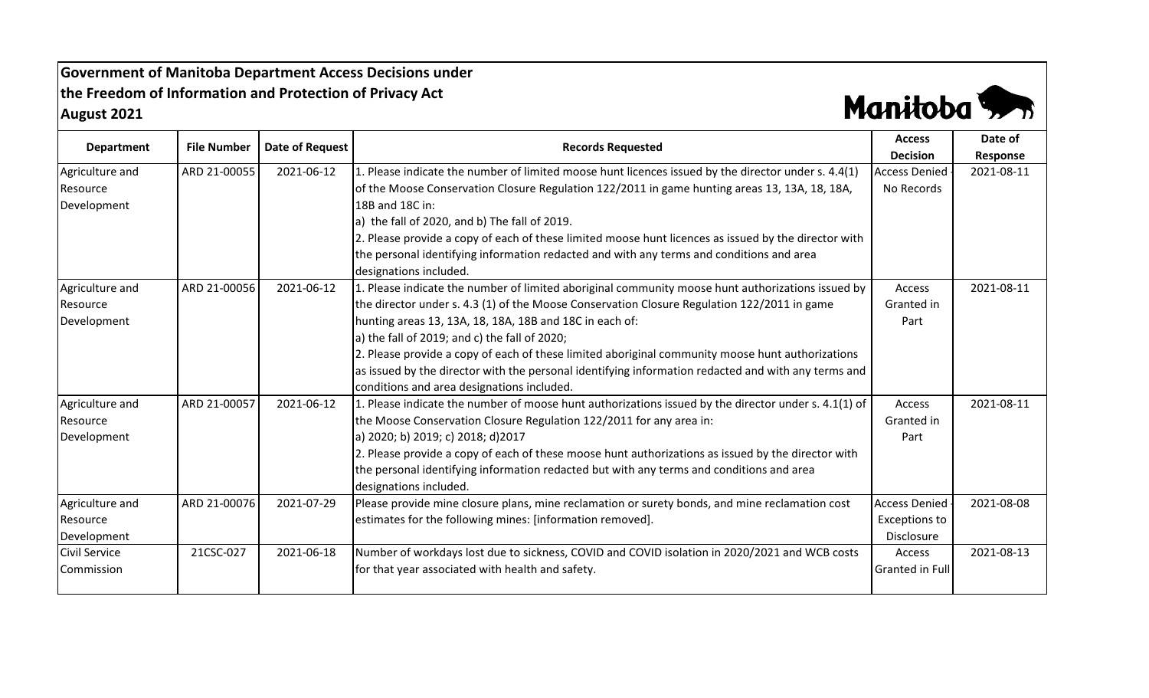## **Government of Manitoba Department Access Decisions under the Freedom of Information and Protection of Privacy Act August 2021**



| <b>Department</b>    | <b>File Number</b> | <b>Date of Request</b> | <b>Records Requested</b>                                                                             | <b>Access</b>          | Date of    |
|----------------------|--------------------|------------------------|------------------------------------------------------------------------------------------------------|------------------------|------------|
|                      |                    |                        |                                                                                                      | <b>Decision</b>        | Response   |
| Agriculture and      | ARD 21-00055       | 2021-06-12             | 1. Please indicate the number of limited moose hunt licences issued by the director under s. 4.4(1)  | <b>Access Denied</b>   | 2021-08-11 |
| Resource             |                    |                        | of the Moose Conservation Closure Regulation 122/2011 in game hunting areas 13, 13A, 18, 18A,        | No Records             |            |
| Development          |                    |                        | 18B and 18C in:                                                                                      |                        |            |
|                      |                    |                        | a) the fall of 2020, and b) The fall of 2019.                                                        |                        |            |
|                      |                    |                        | 2. Please provide a copy of each of these limited moose hunt licences as issued by the director with |                        |            |
|                      |                    |                        | the personal identifying information redacted and with any terms and conditions and area             |                        |            |
|                      |                    |                        | designations included.                                                                               |                        |            |
| Agriculture and      | ARD 21-00056       | 2021-06-12             | 1. Please indicate the number of limited aboriginal community moose hunt authorizations issued by    | Access                 | 2021-08-11 |
| Resource             |                    |                        | the director under s. 4.3 (1) of the Moose Conservation Closure Regulation 122/2011 in game          | Granted in             |            |
| Development          |                    |                        | hunting areas 13, 13A, 18, 18A, 18B and 18C in each of:                                              | Part                   |            |
|                      |                    |                        | a) the fall of 2019; and c) the fall of 2020;                                                        |                        |            |
|                      |                    |                        | 2. Please provide a copy of each of these limited aboriginal community moose hunt authorizations     |                        |            |
|                      |                    |                        | as issued by the director with the personal identifying information redacted and with any terms and  |                        |            |
|                      |                    |                        | conditions and area designations included.                                                           |                        |            |
| Agriculture and      | ARD 21-00057       | 2021-06-12             | 1. Please indicate the number of moose hunt authorizations issued by the director under s. 4.1(1) of | Access                 | 2021-08-11 |
| <b>Resource</b>      |                    |                        | the Moose Conservation Closure Regulation 122/2011 for any area in:                                  | Granted in             |            |
| Development          |                    |                        | a) 2020; b) 2019; c) 2018; d) 2017                                                                   | Part                   |            |
|                      |                    |                        | 2. Please provide a copy of each of these moose hunt authorizations as issued by the director with   |                        |            |
|                      |                    |                        | the personal identifying information redacted but with any terms and conditions and area             |                        |            |
|                      |                    |                        | designations included.                                                                               |                        |            |
| Agriculture and      | ARD 21-00076       | 2021-07-29             | Please provide mine closure plans, mine reclamation or surety bonds, and mine reclamation cost       | <b>Access Denied</b>   | 2021-08-08 |
| Resource             |                    |                        | estimates for the following mines: [information removed].                                            | <b>Exceptions to</b>   |            |
| Development          |                    |                        |                                                                                                      | Disclosure             |            |
| <b>Civil Service</b> | 21CSC-027          | 2021-06-18             | Number of workdays lost due to sickness, COVID and COVID isolation in 2020/2021 and WCB costs        | Access                 | 2021-08-13 |
| Commission           |                    |                        | for that year associated with health and safety.                                                     | <b>Granted in Full</b> |            |
|                      |                    |                        |                                                                                                      |                        |            |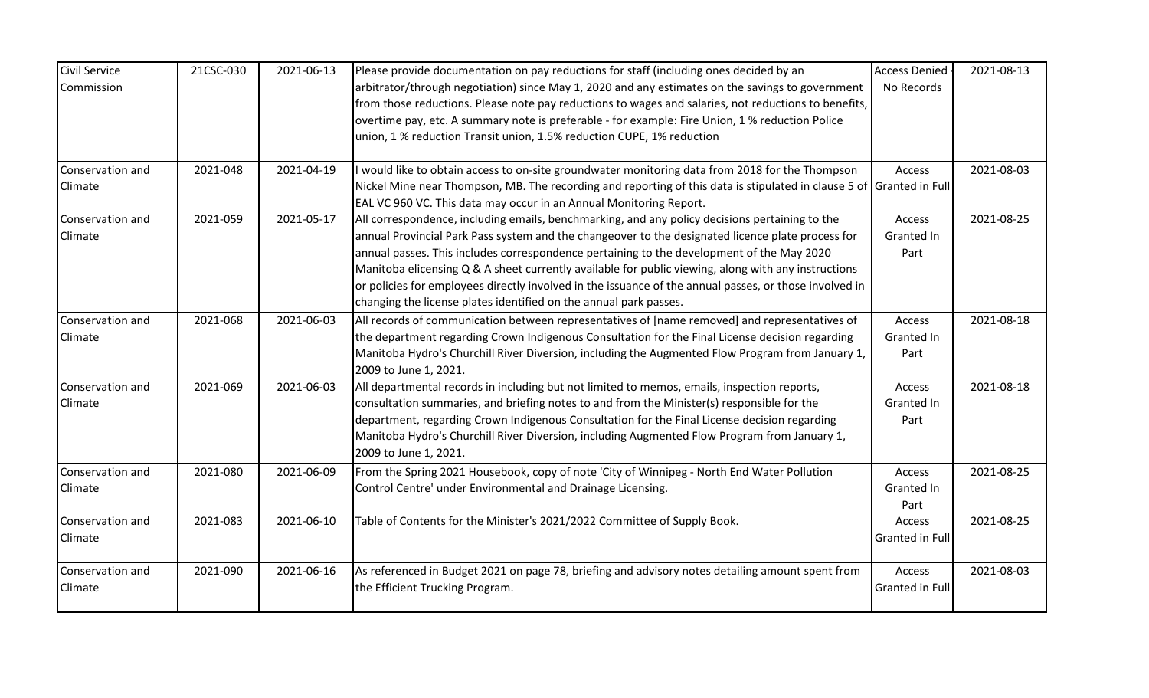| <b>Civil Service</b> | 21CSC-030 | 2021-06-13 | Please provide documentation on pay reductions for staff (including ones decided by an                               | <b>Access Denied</b>   | 2021-08-13 |
|----------------------|-----------|------------|----------------------------------------------------------------------------------------------------------------------|------------------------|------------|
| Commission           |           |            | arbitrator/through negotiation) since May 1, 2020 and any estimates on the savings to government                     | No Records             |            |
|                      |           |            | from those reductions. Please note pay reductions to wages and salaries, not reductions to benefits,                 |                        |            |
|                      |           |            | overtime pay, etc. A summary note is preferable - for example: Fire Union, 1 % reduction Police                      |                        |            |
|                      |           |            | union, 1 % reduction Transit union, 1.5% reduction CUPE, 1% reduction                                                |                        |            |
| Conservation and     | 2021-048  | 2021-04-19 | I would like to obtain access to on-site groundwater monitoring data from 2018 for the Thompson                      | Access                 | 2021-08-03 |
| Climate              |           |            | Nickel Mine near Thompson, MB. The recording and reporting of this data is stipulated in clause 5 of Granted in Full |                        |            |
|                      |           |            | EAL VC 960 VC. This data may occur in an Annual Monitoring Report.                                                   |                        |            |
| Conservation and     | 2021-059  | 2021-05-17 | All correspondence, including emails, benchmarking, and any policy decisions pertaining to the                       | Access                 | 2021-08-25 |
| Climate              |           |            | annual Provincial Park Pass system and the changeover to the designated licence plate process for                    | Granted In             |            |
|                      |           |            | annual passes. This includes correspondence pertaining to the development of the May 2020                            | Part                   |            |
|                      |           |            | Manitoba elicensing Q & A sheet currently available for public viewing, along with any instructions                  |                        |            |
|                      |           |            | or policies for employees directly involved in the issuance of the annual passes, or those involved in               |                        |            |
|                      |           |            | changing the license plates identified on the annual park passes.                                                    |                        |            |
| Conservation and     | 2021-068  | 2021-06-03 | All records of communication between representatives of [name removed] and representatives of                        | Access                 | 2021-08-18 |
| Climate              |           |            | the department regarding Crown Indigenous Consultation for the Final License decision regarding                      | Granted In             |            |
|                      |           |            | Manitoba Hydro's Churchill River Diversion, including the Augmented Flow Program from January 1,                     | Part                   |            |
|                      |           |            | 2009 to June 1, 2021.                                                                                                |                        |            |
| Conservation and     | 2021-069  | 2021-06-03 | All departmental records in including but not limited to memos, emails, inspection reports,                          | Access                 | 2021-08-18 |
| Climate              |           |            | consultation summaries, and briefing notes to and from the Minister(s) responsible for the                           | Granted In             |            |
|                      |           |            | department, regarding Crown Indigenous Consultation for the Final License decision regarding                         | Part                   |            |
|                      |           |            | Manitoba Hydro's Churchill River Diversion, including Augmented Flow Program from January 1,                         |                        |            |
|                      |           |            | 2009 to June 1, 2021.                                                                                                |                        |            |
| Conservation and     | 2021-080  | 2021-06-09 | From the Spring 2021 Housebook, copy of note 'City of Winnipeg - North End Water Pollution                           | Access                 | 2021-08-25 |
| Climate              |           |            | Control Centre' under Environmental and Drainage Licensing.                                                          | Granted In             |            |
|                      |           |            |                                                                                                                      | Part                   |            |
| Conservation and     | 2021-083  | 2021-06-10 | Table of Contents for the Minister's 2021/2022 Committee of Supply Book.                                             | Access                 | 2021-08-25 |
| Climate              |           |            |                                                                                                                      | Granted in Full        |            |
| Conservation and     | 2021-090  | 2021-06-16 | As referenced in Budget 2021 on page 78, briefing and advisory notes detailing amount spent from                     | Access                 | 2021-08-03 |
| Climate              |           |            | the Efficient Trucking Program.                                                                                      | <b>Granted in Full</b> |            |
|                      |           |            |                                                                                                                      |                        |            |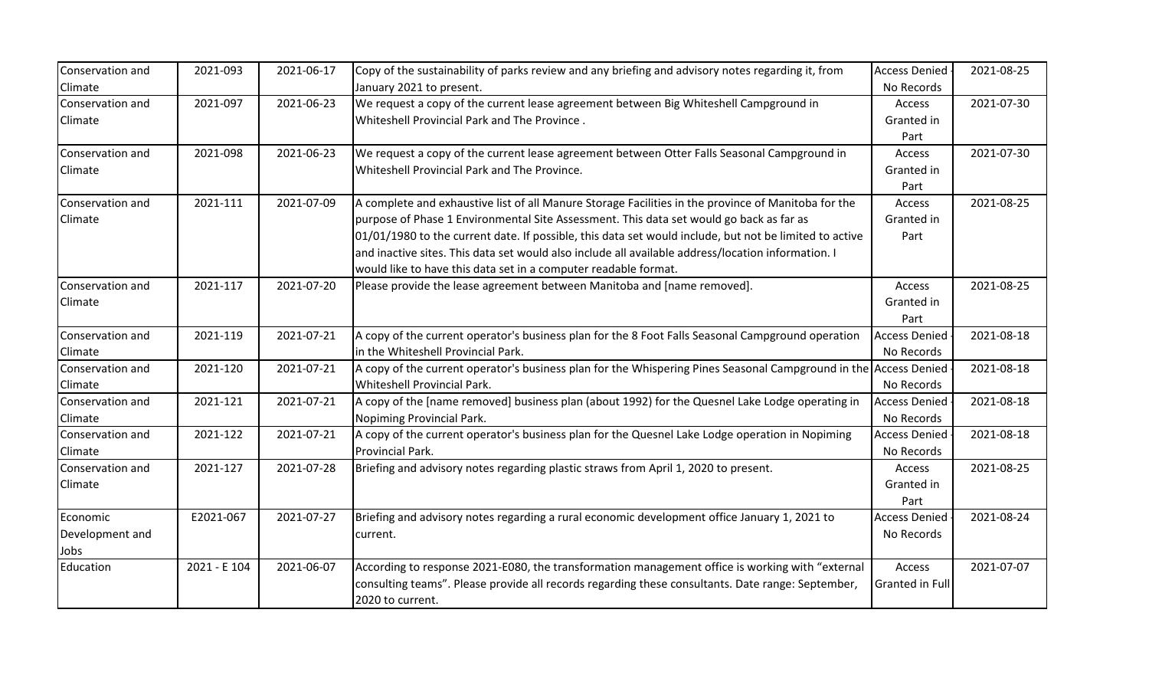| Conservation and | 2021-093     | 2021-06-17 | Copy of the sustainability of parks review and any briefing and advisory notes regarding it, from                | <b>Access Denied</b> | 2021-08-25 |
|------------------|--------------|------------|------------------------------------------------------------------------------------------------------------------|----------------------|------------|
| Climate          |              |            | January 2021 to present.                                                                                         | No Records           |            |
| Conservation and | 2021-097     | 2021-06-23 | We request a copy of the current lease agreement between Big Whiteshell Campground in                            | Access               | 2021-07-30 |
| Climate          |              |            | Whiteshell Provincial Park and The Province.                                                                     | Granted in           |            |
|                  |              |            |                                                                                                                  | Part                 |            |
| Conservation and | 2021-098     | 2021-06-23 | We request a copy of the current lease agreement between Otter Falls Seasonal Campground in                      | Access               | 2021-07-30 |
| Climate          |              |            | Whiteshell Provincial Park and The Province.                                                                     | Granted in           |            |
|                  |              |            |                                                                                                                  | Part                 |            |
| Conservation and | 2021-111     | 2021-07-09 | A complete and exhaustive list of all Manure Storage Facilities in the province of Manitoba for the              | Access               | 2021-08-25 |
| Climate          |              |            | purpose of Phase 1 Environmental Site Assessment. This data set would go back as far as                          | Granted in           |            |
|                  |              |            | 01/01/1980 to the current date. If possible, this data set would include, but not be limited to active           | Part                 |            |
|                  |              |            | and inactive sites. This data set would also include all available address/location information. I               |                      |            |
|                  |              |            | would like to have this data set in a computer readable format.                                                  |                      |            |
| Conservation and | 2021-117     | 2021-07-20 | Please provide the lease agreement between Manitoba and [name removed].                                          | Access               | 2021-08-25 |
| Climate          |              |            |                                                                                                                  | Granted in           |            |
|                  |              |            |                                                                                                                  | Part                 |            |
| Conservation and | 2021-119     | 2021-07-21 | A copy of the current operator's business plan for the 8 Foot Falls Seasonal Campground operation                | <b>Access Denied</b> | 2021-08-18 |
| Climate          |              |            | in the Whiteshell Provincial Park.                                                                               | No Records           |            |
| Conservation and | 2021-120     | 2021-07-21 | A copy of the current operator's business plan for the Whispering Pines Seasonal Campground in the Access Denied |                      | 2021-08-18 |
| Climate          |              |            | Whiteshell Provincial Park.                                                                                      | No Records           |            |
| Conservation and | 2021-121     | 2021-07-21 | A copy of the [name removed] business plan (about 1992) for the Quesnel Lake Lodge operating in                  | <b>Access Denied</b> | 2021-08-18 |
| Climate          |              |            | Nopiming Provincial Park.                                                                                        | No Records           |            |
| Conservation and | 2021-122     | 2021-07-21 | A copy of the current operator's business plan for the Quesnel Lake Lodge operation in Nopiming                  | <b>Access Denied</b> | 2021-08-18 |
| Climate          |              |            | Provincial Park.                                                                                                 | No Records           |            |
| Conservation and | 2021-127     | 2021-07-28 | Briefing and advisory notes regarding plastic straws from April 1, 2020 to present.                              | Access               | 2021-08-25 |
| Climate          |              |            |                                                                                                                  | Granted in           |            |
|                  |              |            |                                                                                                                  | Part                 |            |
| Economic         | E2021-067    | 2021-07-27 | Briefing and advisory notes regarding a rural economic development office January 1, 2021 to                     | <b>Access Denied</b> | 2021-08-24 |
| Development and  |              |            | current.                                                                                                         | No Records           |            |
| Jobs             |              |            |                                                                                                                  |                      |            |
| Education        | 2021 - E 104 | 2021-06-07 | According to response 2021-E080, the transformation management office is working with "external                  | Access               | 2021-07-07 |
|                  |              |            | consulting teams". Please provide all records regarding these consultants. Date range: September,                | Granted in Full      |            |
|                  |              |            | 2020 to current.                                                                                                 |                      |            |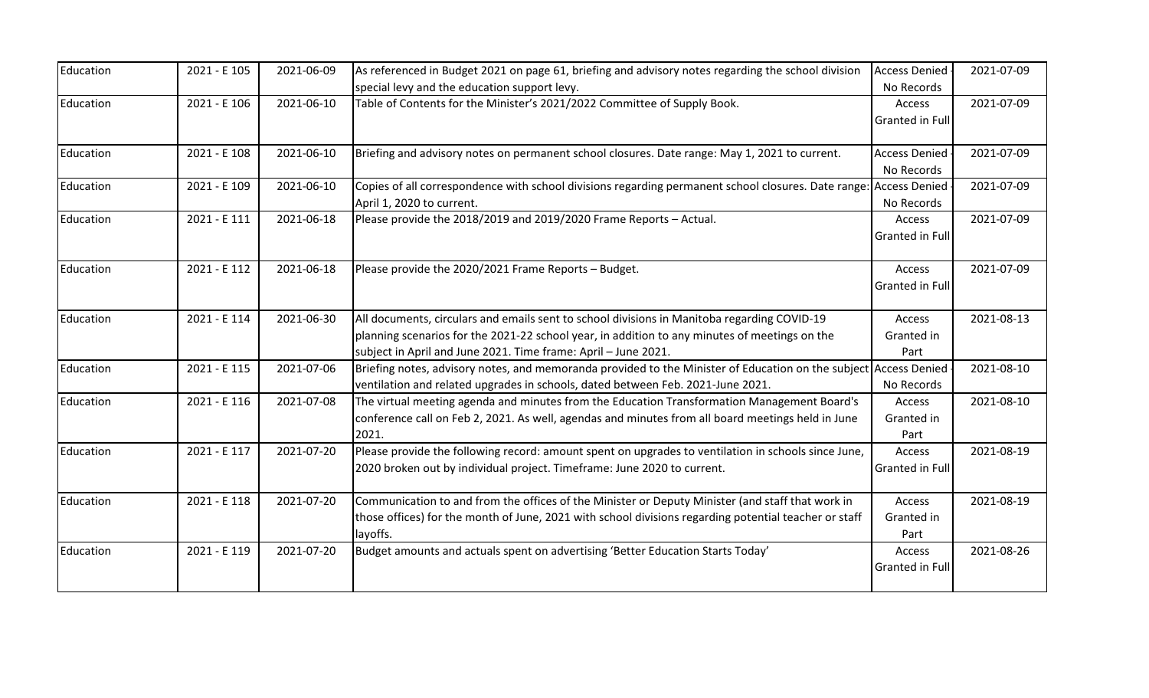| Education | 2021 - E 105 | 2021-06-09 | As referenced in Budget 2021 on page 61, briefing and advisory notes regarding the school division               | <b>Access Denied</b>   | 2021-07-09 |
|-----------|--------------|------------|------------------------------------------------------------------------------------------------------------------|------------------------|------------|
|           |              |            | special levy and the education support levy.                                                                     | No Records             |            |
| Education | 2021 - E 106 | 2021-06-10 | Table of Contents for the Minister's 2021/2022 Committee of Supply Book.                                         | Access                 | 2021-07-09 |
|           |              |            |                                                                                                                  | Granted in Full        |            |
|           |              |            |                                                                                                                  |                        |            |
| Education | 2021 - E 108 | 2021-06-10 | Briefing and advisory notes on permanent school closures. Date range: May 1, 2021 to current.                    | <b>Access Denied</b>   | 2021-07-09 |
|           |              |            |                                                                                                                  | No Records             |            |
| Education | 2021 - E 109 | 2021-06-10 | Copies of all correspondence with school divisions regarding permanent school closures. Date range:              | <b>Access Denied</b>   | 2021-07-09 |
|           |              |            | April 1, 2020 to current.                                                                                        | No Records             |            |
| Education | 2021 - E 111 | 2021-06-18 | Please provide the 2018/2019 and 2019/2020 Frame Reports - Actual.                                               | Access                 | 2021-07-09 |
|           |              |            |                                                                                                                  | Granted in Full        |            |
|           |              |            |                                                                                                                  |                        |            |
| Education | 2021 - E 112 | 2021-06-18 | Please provide the 2020/2021 Frame Reports - Budget.                                                             | Access                 | 2021-07-09 |
|           |              |            |                                                                                                                  | Granted in Full        |            |
|           |              |            |                                                                                                                  |                        |            |
| Education | 2021 - E 114 | 2021-06-30 | All documents, circulars and emails sent to school divisions in Manitoba regarding COVID-19                      | Access                 | 2021-08-13 |
|           |              |            | planning scenarios for the 2021-22 school year, in addition to any minutes of meetings on the                    | Granted in             |            |
|           |              |            | subject in April and June 2021. Time frame: April - June 2021.                                                   | Part                   |            |
| Education | 2021 - E 115 | 2021-07-06 | Briefing notes, advisory notes, and memoranda provided to the Minister of Education on the subject Access Denied |                        | 2021-08-10 |
|           |              |            | ventilation and related upgrades in schools, dated between Feb. 2021-June 2021.                                  | No Records             |            |
| Education | 2021 - E 116 | 2021-07-08 | The virtual meeting agenda and minutes from the Education Transformation Management Board's                      | Access                 | 2021-08-10 |
|           |              |            | conference call on Feb 2, 2021. As well, agendas and minutes from all board meetings held in June                | Granted in             |            |
|           |              |            | 2021.                                                                                                            | Part                   |            |
| Education | 2021 - E 117 | 2021-07-20 | Please provide the following record: amount spent on upgrades to ventilation in schools since June,              | Access                 | 2021-08-19 |
|           |              |            | 2020 broken out by individual project. Timeframe: June 2020 to current.                                          | <b>Granted in Full</b> |            |
|           |              |            |                                                                                                                  |                        |            |
| Education | 2021 - E 118 | 2021-07-20 | Communication to and from the offices of the Minister or Deputy Minister (and staff that work in                 | Access                 | 2021-08-19 |
|           |              |            | those offices) for the month of June, 2021 with school divisions regarding potential teacher or staff            | Granted in             |            |
|           |              |            | layoffs.                                                                                                         | Part                   |            |
| Education | 2021 - E 119 | 2021-07-20 | Budget amounts and actuals spent on advertising 'Better Education Starts Today'                                  | Access                 | 2021-08-26 |
|           |              |            |                                                                                                                  | Granted in Full        |            |
|           |              |            |                                                                                                                  |                        |            |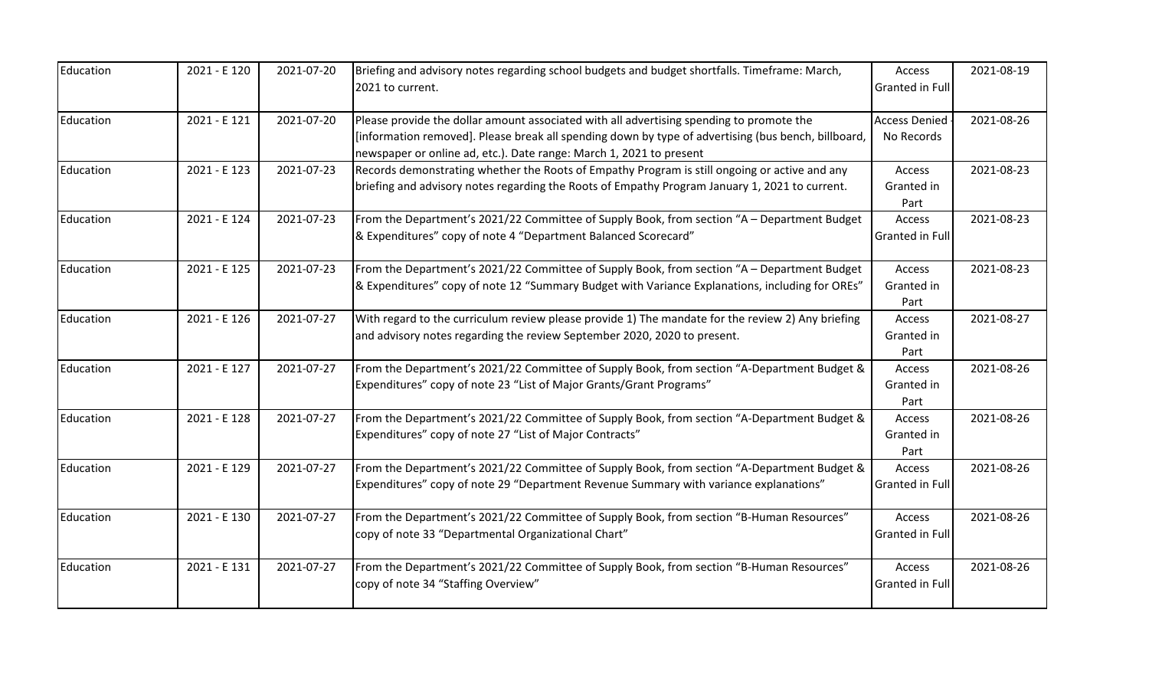| Education | 2021 - E 120 | 2021-07-20 | Briefing and advisory notes regarding school budgets and budget shortfalls. Timeframe: March,<br>2021 to current.                                                                                                                                                      | Access<br><b>Granted in Full</b>   | 2021-08-19 |
|-----------|--------------|------------|------------------------------------------------------------------------------------------------------------------------------------------------------------------------------------------------------------------------------------------------------------------------|------------------------------------|------------|
| Education | 2021 - E 121 | 2021-07-20 | Please provide the dollar amount associated with all advertising spending to promote the<br>[information removed]. Please break all spending down by type of advertising (bus bench, billboard,<br>newspaper or online ad, etc.). Date range: March 1, 2021 to present | <b>Access Denied</b><br>No Records | 2021-08-26 |
| Education | 2021 - E 123 | 2021-07-23 | Records demonstrating whether the Roots of Empathy Program is still ongoing or active and any<br>briefing and advisory notes regarding the Roots of Empathy Program January 1, 2021 to current.                                                                        | Access<br>Granted in<br>Part       | 2021-08-23 |
| Education | 2021 - E 124 | 2021-07-23 | From the Department's 2021/22 Committee of Supply Book, from section "A - Department Budget<br>& Expenditures" copy of note 4 "Department Balanced Scorecard"                                                                                                          | Access<br><b>Granted in Full</b>   | 2021-08-23 |
| Education | 2021 - E 125 | 2021-07-23 | From the Department's 2021/22 Committee of Supply Book, from section "A - Department Budget<br>8. Expenditures" copy of note 12 "Summary Budget with Variance Explanations, including for OREs                                                                         | Access<br>Granted in<br>Part       | 2021-08-23 |
| Education | 2021 - E 126 | 2021-07-27 | With regard to the curriculum review please provide 1) The mandate for the review 2) Any briefing<br>and advisory notes regarding the review September 2020, 2020 to present.                                                                                          | Access<br>Granted in<br>Part       | 2021-08-27 |
| Education | 2021 - E 127 | 2021-07-27 | From the Department's 2021/22 Committee of Supply Book, from section "A-Department Budget &<br>Expenditures" copy of note 23 "List of Major Grants/Grant Programs"                                                                                                     | Access<br>Granted in<br>Part       | 2021-08-26 |
| Education | 2021 - E 128 | 2021-07-27 | From the Department's 2021/22 Committee of Supply Book, from section "A-Department Budget &<br>Expenditures" copy of note 27 "List of Major Contracts"                                                                                                                 | Access<br>Granted in<br>Part       | 2021-08-26 |
| Education | 2021 - E 129 | 2021-07-27 | From the Department's 2021/22 Committee of Supply Book, from section "A-Department Budget &<br>Expenditures" copy of note 29 "Department Revenue Summary with variance explanations"                                                                                   | Access<br><b>Granted in Full</b>   | 2021-08-26 |
| Education | 2021 - E 130 | 2021-07-27 | From the Department's 2021/22 Committee of Supply Book, from section "B-Human Resources"<br>copy of note 33 "Departmental Organizational Chart"                                                                                                                        | Access<br><b>Granted in Full</b>   | 2021-08-26 |
| Education | 2021 - E 131 | 2021-07-27 | From the Department's 2021/22 Committee of Supply Book, from section "B-Human Resources"<br>copy of note 34 "Staffing Overview"                                                                                                                                        | Access<br>Granted in Full          | 2021-08-26 |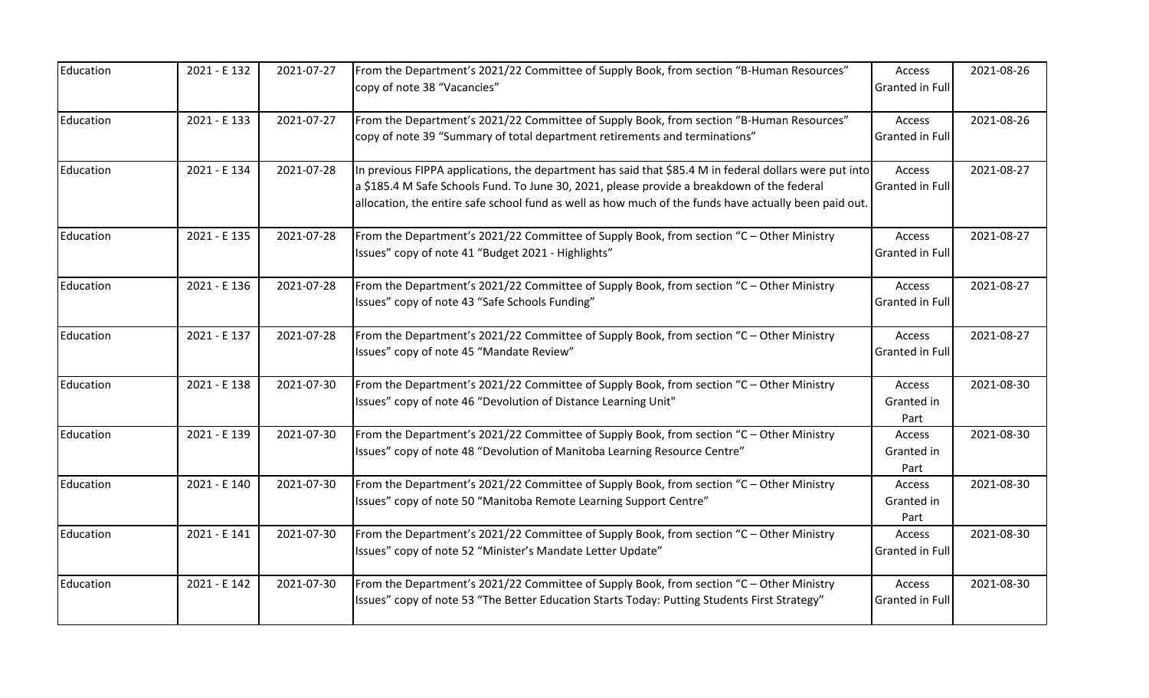| Education | 2021 - E 132 | 2021-07-27 | From the Department's 2021/22 Committee of Supply Book, from section "B-Human Resources"<br>copy of note 38 "Vacancies"                                                                                                                                                                                       | Access<br>Granted in Full        | 2021-08-26 |
|-----------|--------------|------------|---------------------------------------------------------------------------------------------------------------------------------------------------------------------------------------------------------------------------------------------------------------------------------------------------------------|----------------------------------|------------|
| Education | 2021 - E 133 | 2021-07-27 | From the Department's 2021/22 Committee of Supply Book, from section "B-Human Resources"<br>copy of note 39 "Summary of total department retirements and terminations"                                                                                                                                        | Access<br>Granted in Full        | 2021-08-26 |
| Education | 2021 - E 134 | 2021-07-28 | In previous FIPPA applications, the department has said that \$85.4 M in federal dollars were put into<br>a \$185.4 M Safe Schools Fund. To June 30, 2021, please provide a breakdown of the federal<br>allocation, the entire safe school fund as well as how much of the funds have actually been paid out. | Access<br>Granted in Full        | 2021-08-27 |
| Education | 2021 - E 135 | 2021-07-28 | From the Department's 2021/22 Committee of Supply Book, from section "C - Other Ministry<br>Issues" copy of note 41 "Budget 2021 - Highlights"                                                                                                                                                                | Access<br><b>Granted in Full</b> | 2021-08-27 |
| Education | 2021 - E 136 | 2021-07-28 | From the Department's 2021/22 Committee of Supply Book, from section "C - Other Ministry<br>Issues" copy of note 43 "Safe Schools Funding"                                                                                                                                                                    | Access<br>Granted in Full        | 2021-08-27 |
| Education | 2021 - E 137 | 2021-07-28 | From the Department's 2021/22 Committee of Supply Book, from section "C - Other Ministry<br>Issues" copy of note 45 "Mandate Review"                                                                                                                                                                          | Access<br>Granted in Full        | 2021-08-27 |
| Education | 2021 - E 138 | 2021-07-30 | From the Department's 2021/22 Committee of Supply Book, from section "C - Other Ministry<br>Issues" copy of note 46 "Devolution of Distance Learning Unit"                                                                                                                                                    | Access<br>Granted in<br>Part     | 2021-08-30 |
| Education | 2021 - E 139 | 2021-07-30 | From the Department's 2021/22 Committee of Supply Book, from section "C - Other Ministry<br>Issues" copy of note 48 "Devolution of Manitoba Learning Resource Centre"                                                                                                                                         | Access<br>Granted in<br>Part     | 2021-08-30 |
| Education | 2021 - E 140 | 2021-07-30 | From the Department's 2021/22 Committee of Supply Book, from section "C - Other Ministry<br>Issues" copy of note 50 "Manitoba Remote Learning Support Centre"                                                                                                                                                 | Access<br>Granted in<br>Part     | 2021-08-30 |
| Education | 2021 - E 141 | 2021-07-30 | From the Department's 2021/22 Committee of Supply Book, from section "C - Other Ministry<br>Issues" copy of note 52 "Minister's Mandate Letter Update"                                                                                                                                                        | Access<br>Granted in Full        | 2021-08-30 |
| Education | 2021 - E 142 | 2021-07-30 | From the Department's 2021/22 Committee of Supply Book, from section "C - Other Ministry<br>Issues" copy of note 53 "The Better Education Starts Today: Putting Students First Strategy"                                                                                                                      | Access<br>Granted in Full        | 2021-08-30 |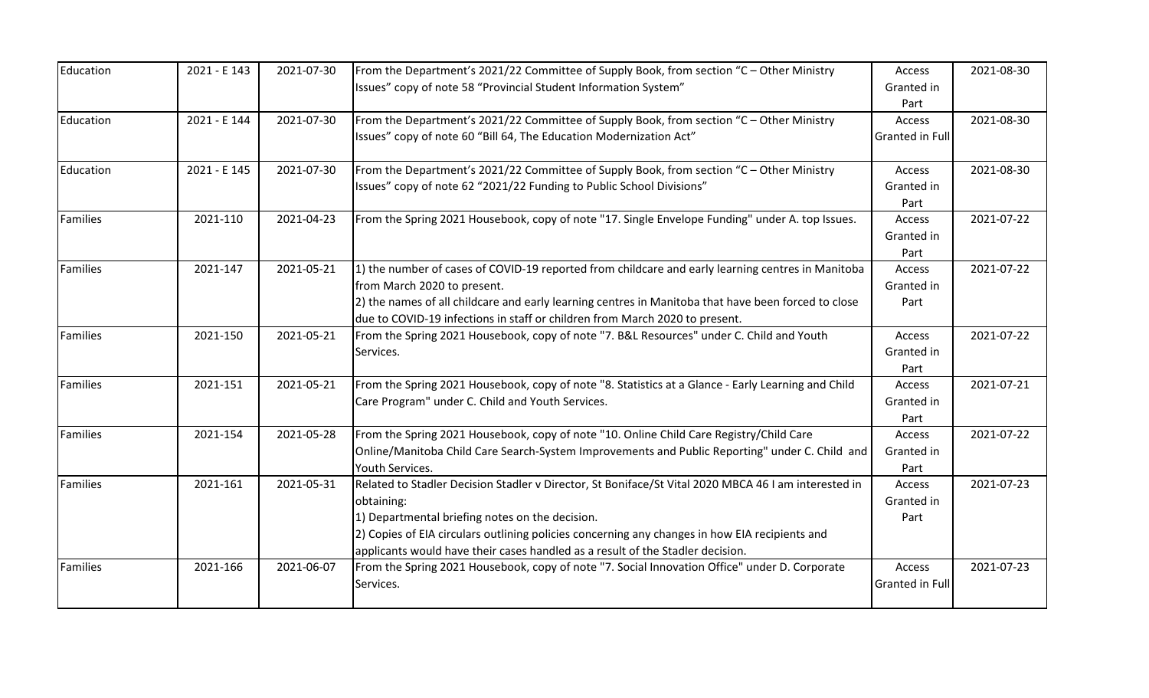| Education       | 2021 - E 143 | 2021-07-30 | From the Department's 2021/22 Committee of Supply Book, from section "C - Other Ministry             | Access                 | 2021-08-30 |
|-----------------|--------------|------------|------------------------------------------------------------------------------------------------------|------------------------|------------|
|                 |              |            | Issues" copy of note 58 "Provincial Student Information System"                                      | Granted in             |            |
|                 |              |            |                                                                                                      | Part                   |            |
| Education       | 2021 - E 144 | 2021-07-30 | From the Department's 2021/22 Committee of Supply Book, from section "C - Other Ministry             | Access                 | 2021-08-30 |
|                 |              |            | Issues" copy of note 60 "Bill 64, The Education Modernization Act"                                   | <b>Granted in Full</b> |            |
| Education       | 2021 - E 145 | 2021-07-30 | From the Department's 2021/22 Committee of Supply Book, from section "C - Other Ministry             | Access                 | 2021-08-30 |
|                 |              |            | Issues" copy of note 62 "2021/22 Funding to Public School Divisions"                                 | Granted in             |            |
|                 |              |            |                                                                                                      | Part                   |            |
| <b>Families</b> | 2021-110     | 2021-04-23 | From the Spring 2021 Housebook, copy of note "17. Single Envelope Funding" under A. top Issues.      | Access                 | 2021-07-22 |
|                 |              |            |                                                                                                      | Granted in             |            |
|                 |              |            |                                                                                                      | Part                   |            |
| <b>Families</b> | 2021-147     | 2021-05-21 | 1) the number of cases of COVID-19 reported from childcare and early learning centres in Manitoba    | Access                 | 2021-07-22 |
|                 |              |            | from March 2020 to present.                                                                          | Granted in             |            |
|                 |              |            | 2) the names of all childcare and early learning centres in Manitoba that have been forced to close  | Part                   |            |
|                 |              |            | due to COVID-19 infections in staff or children from March 2020 to present.                          |                        |            |
| Families        | 2021-150     | 2021-05-21 | From the Spring 2021 Housebook, copy of note "7. B&L Resources" under C. Child and Youth             | Access                 | 2021-07-22 |
|                 |              |            | Services.                                                                                            | Granted in             |            |
|                 |              |            |                                                                                                      | Part                   |            |
| Families        | 2021-151     | 2021-05-21 | From the Spring 2021 Housebook, copy of note "8. Statistics at a Glance - Early Learning and Child   | Access                 | 2021-07-21 |
|                 |              |            | Care Program" under C. Child and Youth Services.                                                     | Granted in             |            |
|                 |              |            |                                                                                                      | Part                   |            |
| Families        | 2021-154     | 2021-05-28 | From the Spring 2021 Housebook, copy of note "10. Online Child Care Registry/Child Care              | Access                 | 2021-07-22 |
|                 |              |            | Online/Manitoba Child Care Search-System Improvements and Public Reporting" under C. Child and       | Granted in             |            |
|                 |              |            | Youth Services.                                                                                      | Part                   |            |
| <b>Families</b> | 2021-161     | 2021-05-31 | Related to Stadler Decision Stadler v Director, St Boniface/St Vital 2020 MBCA 46 I am interested in | Access                 | 2021-07-23 |
|                 |              |            | obtaining:                                                                                           | Granted in             |            |
|                 |              |            | 1) Departmental briefing notes on the decision.                                                      | Part                   |            |
|                 |              |            | 2) Copies of EIA circulars outlining policies concerning any changes in how EIA recipients and       |                        |            |
|                 |              |            | applicants would have their cases handled as a result of the Stadler decision.                       |                        |            |
| Families        | 2021-166     | 2021-06-07 | From the Spring 2021 Housebook, copy of note "7. Social Innovation Office" under D. Corporate        | Access                 | 2021-07-23 |
|                 |              |            | Services.                                                                                            | <b>Granted in Ful</b>  |            |
|                 |              |            |                                                                                                      |                        |            |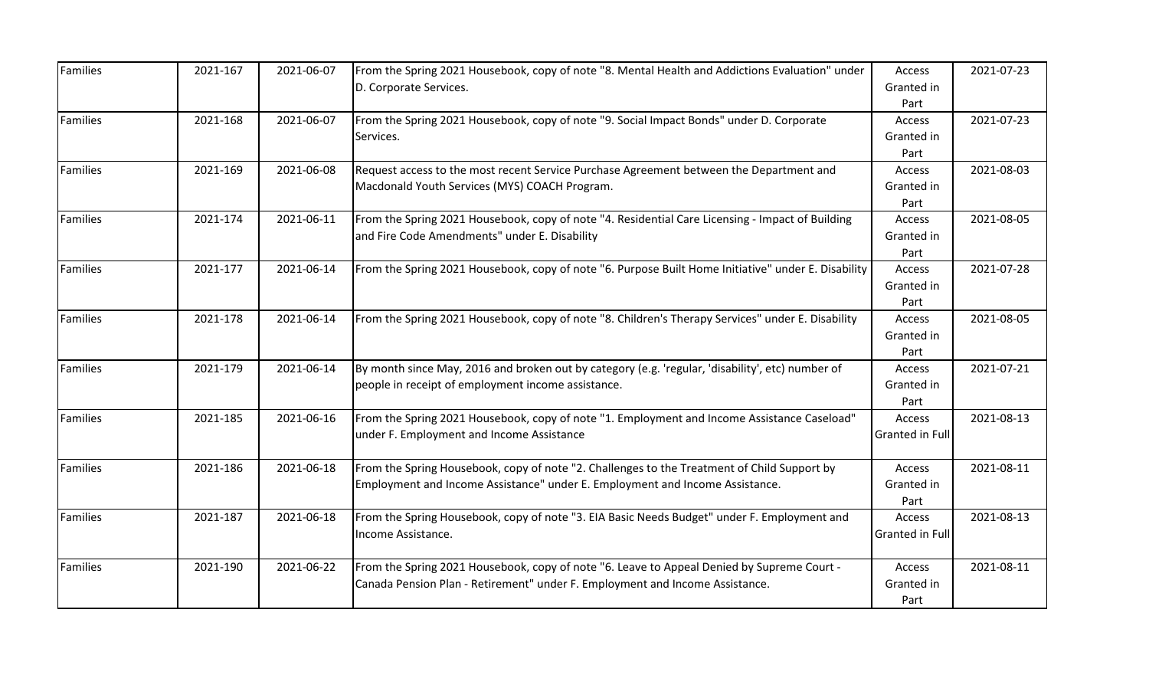| <b>Families</b> | 2021-167 | 2021-06-07 | From the Spring 2021 Housebook, copy of note "8. Mental Health and Addictions Evaluation" under<br>D. Corporate Services.                                                   | Access<br>Granted in                 | 2021-07-23 |
|-----------------|----------|------------|-----------------------------------------------------------------------------------------------------------------------------------------------------------------------------|--------------------------------------|------------|
| <b>Families</b> | 2021-168 | 2021-06-07 | From the Spring 2021 Housebook, copy of note "9. Social Impact Bonds" under D. Corporate<br>Services.                                                                       | Part<br>Access<br>Granted in<br>Part | 2021-07-23 |
| Families        | 2021-169 | 2021-06-08 | Request access to the most recent Service Purchase Agreement between the Department and<br>Macdonald Youth Services (MYS) COACH Program.                                    | Access<br>Granted in<br>Part         | 2021-08-03 |
| Families        | 2021-174 | 2021-06-11 | From the Spring 2021 Housebook, copy of note "4. Residential Care Licensing - Impact of Building<br>and Fire Code Amendments" under E. Disability                           | Access<br>Granted in<br>Part         | 2021-08-05 |
| Families        | 2021-177 | 2021-06-14 | From the Spring 2021 Housebook, copy of note "6. Purpose Built Home Initiative" under E. Disability                                                                         | Access<br>Granted in<br>Part         | 2021-07-28 |
| Families        | 2021-178 | 2021-06-14 | From the Spring 2021 Housebook, copy of note "8. Children's Therapy Services" under E. Disability                                                                           | Access<br>Granted in<br>Part         | 2021-08-05 |
| Families        | 2021-179 | 2021-06-14 | By month since May, 2016 and broken out by category (e.g. 'regular, 'disability', etc) number of<br>people in receipt of employment income assistance.                      | Access<br>Granted in<br>Part         | 2021-07-21 |
| <b>Families</b> | 2021-185 | 2021-06-16 | From the Spring 2021 Housebook, copy of note "1. Employment and Income Assistance Caseload"<br>under F. Employment and Income Assistance                                    | Access<br>Granted in Full            | 2021-08-13 |
| Families        | 2021-186 | 2021-06-18 | From the Spring Housebook, copy of note "2. Challenges to the Treatment of Child Support by<br>Employment and Income Assistance" under E. Employment and Income Assistance. | Access<br>Granted in<br>Part         | 2021-08-11 |
| <b>Families</b> | 2021-187 | 2021-06-18 | From the Spring Housebook, copy of note "3. EIA Basic Needs Budget" under F. Employment and<br>Income Assistance.                                                           | Access<br>Granted in Full            | 2021-08-13 |
| Families        | 2021-190 | 2021-06-22 | From the Spring 2021 Housebook, copy of note "6. Leave to Appeal Denied by Supreme Court -<br>Canada Pension Plan - Retirement" under F. Employment and Income Assistance.  | Access<br>Granted in<br>Part         | 2021-08-11 |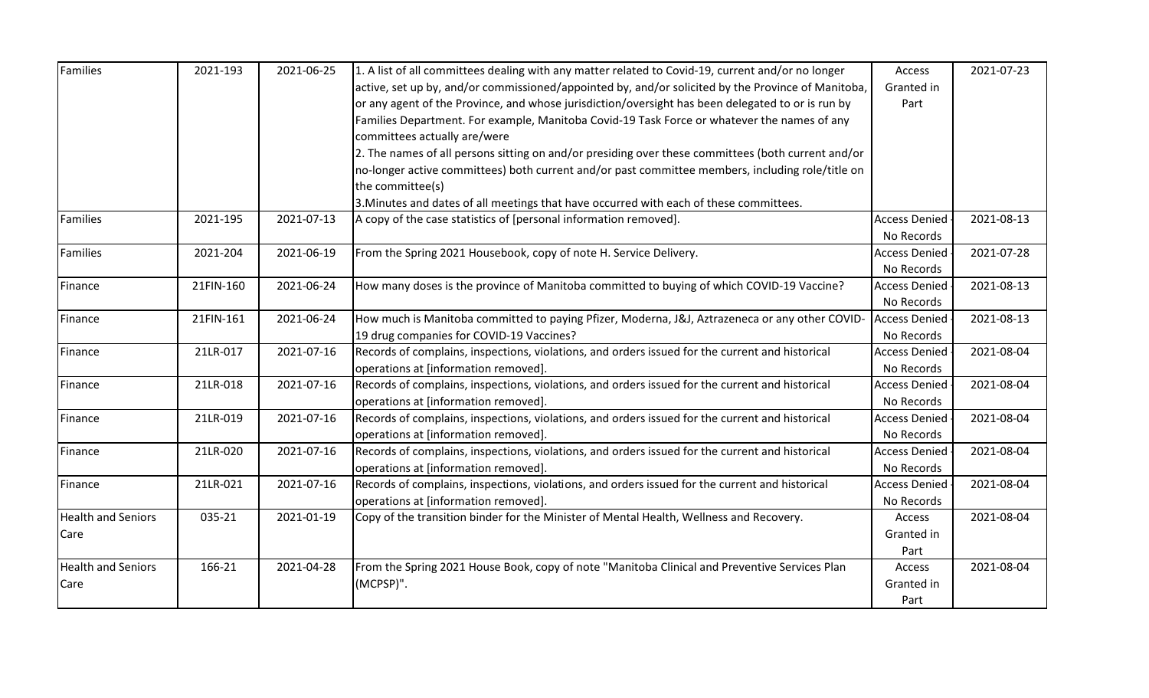| <b>Families</b>           | 2021-193  | 2021-06-25 | 1. A list of all committees dealing with any matter related to Covid-19, current and/or no longer  | Access               | 2021-07-23 |
|---------------------------|-----------|------------|----------------------------------------------------------------------------------------------------|----------------------|------------|
|                           |           |            | active, set up by, and/or commissioned/appointed by, and/or solicited by the Province of Manitoba, | Granted in           |            |
|                           |           |            | or any agent of the Province, and whose jurisdiction/oversight has been delegated to or is run by  | Part                 |            |
|                           |           |            | Families Department. For example, Manitoba Covid-19 Task Force or whatever the names of any        |                      |            |
|                           |           |            | committees actually are/were                                                                       |                      |            |
|                           |           |            | 2. The names of all persons sitting on and/or presiding over these committees (both current and/or |                      |            |
|                           |           |            | no-longer active committees) both current and/or past committee members, including role/title on   |                      |            |
|                           |           |            | the committee(s)                                                                                   |                      |            |
|                           |           |            | 3. Minutes and dates of all meetings that have occurred with each of these committees.             |                      |            |
| <b>Families</b>           | 2021-195  | 2021-07-13 | A copy of the case statistics of [personal information removed].                                   | <b>Access Denied</b> | 2021-08-13 |
|                           |           |            |                                                                                                    | No Records           |            |
| Families                  | 2021-204  | 2021-06-19 | From the Spring 2021 Housebook, copy of note H. Service Delivery.                                  | <b>Access Denied</b> | 2021-07-28 |
|                           |           |            |                                                                                                    | No Records           |            |
| Finance                   | 21FIN-160 | 2021-06-24 | How many doses is the province of Manitoba committed to buying of which COVID-19 Vaccine?          | <b>Access Denied</b> | 2021-08-13 |
|                           |           |            |                                                                                                    | No Records           |            |
| Finance                   | 21FIN-161 | 2021-06-24 | How much is Manitoba committed to paying Pfizer, Moderna, J&J, Aztrazeneca or any other COVID-     | <b>Access Denied</b> | 2021-08-13 |
|                           |           |            | 19 drug companies for COVID-19 Vaccines?                                                           | No Records           |            |
| Finance                   | 21LR-017  | 2021-07-16 | Records of complains, inspections, violations, and orders issued for the current and historical    | <b>Access Denied</b> | 2021-08-04 |
|                           |           |            | operations at [information removed].                                                               | No Records           |            |
| Finance                   | 21LR-018  | 2021-07-16 | Records of complains, inspections, violations, and orders issued for the current and historical    | <b>Access Denied</b> | 2021-08-04 |
|                           |           |            | operations at [information removed].                                                               | No Records           |            |
| Finance                   | 21LR-019  | 2021-07-16 | Records of complains, inspections, violations, and orders issued for the current and historical    | <b>Access Denied</b> | 2021-08-04 |
|                           |           |            | operations at [information removed].                                                               | No Records           |            |
| Finance                   | 21LR-020  | 2021-07-16 | Records of complains, inspections, violations, and orders issued for the current and historical    | <b>Access Denied</b> | 2021-08-04 |
|                           |           |            | operations at [information removed].                                                               | No Records           |            |
| Finance                   | 21LR-021  | 2021-07-16 | Records of complains, inspections, violations, and orders issued for the current and historical    | <b>Access Denied</b> | 2021-08-04 |
|                           |           |            | operations at [information removed].                                                               | No Records           |            |
| <b>Health and Seniors</b> | 035-21    | 2021-01-19 | Copy of the transition binder for the Minister of Mental Health, Wellness and Recovery.            | Access               | 2021-08-04 |
| Care                      |           |            |                                                                                                    | Granted in           |            |
|                           |           |            |                                                                                                    | Part                 |            |
| <b>Health and Seniors</b> | 166-21    | 2021-04-28 | From the Spring 2021 House Book, copy of note "Manitoba Clinical and Preventive Services Plan      | Access               | 2021-08-04 |
| Care                      |           |            | (MCPSP)".                                                                                          | Granted in           |            |
|                           |           |            |                                                                                                    | Part                 |            |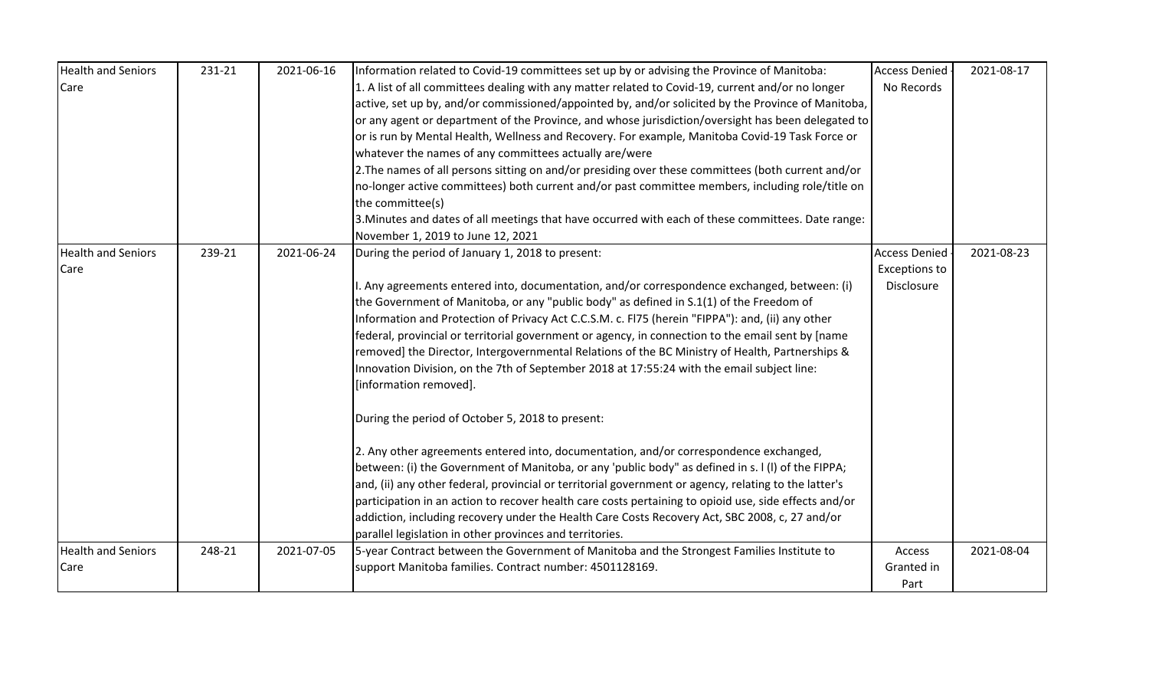| <b>Health and Seniors</b> | 231-21 | 2021-06-16 | Information related to Covid-19 committees set up by or advising the Province of Manitoba:            | <b>Access Denied</b> | 2021-08-17 |
|---------------------------|--------|------------|-------------------------------------------------------------------------------------------------------|----------------------|------------|
| Care                      |        |            | 1. A list of all committees dealing with any matter related to Covid-19, current and/or no longer     | No Records           |            |
|                           |        |            | active, set up by, and/or commissioned/appointed by, and/or solicited by the Province of Manitoba,    |                      |            |
|                           |        |            | or any agent or department of the Province, and whose jurisdiction/oversight has been delegated to    |                      |            |
|                           |        |            | or is run by Mental Health, Wellness and Recovery. For example, Manitoba Covid-19 Task Force or       |                      |            |
|                           |        |            | whatever the names of any committees actually are/were                                                |                      |            |
|                           |        |            | 2. The names of all persons sitting on and/or presiding over these committees (both current and/or    |                      |            |
|                           |        |            | no-longer active committees) both current and/or past committee members, including role/title on      |                      |            |
|                           |        |            | the committee(s)                                                                                      |                      |            |
|                           |        |            | 3. Minutes and dates of all meetings that have occurred with each of these committees. Date range:    |                      |            |
|                           |        |            | November 1, 2019 to June 12, 2021                                                                     |                      |            |
| <b>Health and Seniors</b> | 239-21 | 2021-06-24 | During the period of January 1, 2018 to present:                                                      | <b>Access Denied</b> | 2021-08-23 |
| Care                      |        |            |                                                                                                       | <b>Exceptions to</b> |            |
|                           |        |            | . Any agreements entered into, documentation, and/or correspondence exchanged, between: (i)           | Disclosure           |            |
|                           |        |            | the Government of Manitoba, or any "public body" as defined in S.1(1) of the Freedom of               |                      |            |
|                           |        |            | Information and Protection of Privacy Act C.C.S.M. c. FI75 (herein "FIPPA"): and, (ii) any other      |                      |            |
|                           |        |            | federal, provincial or territorial government or agency, in connection to the email sent by [name     |                      |            |
|                           |        |            | removed] the Director, Intergovernmental Relations of the BC Ministry of Health, Partnerships &       |                      |            |
|                           |        |            | Innovation Division, on the 7th of September 2018 at 17:55:24 with the email subject line:            |                      |            |
|                           |        |            | [information removed].                                                                                |                      |            |
|                           |        |            | During the period of October 5, 2018 to present:                                                      |                      |            |
|                           |        |            | 2. Any other agreements entered into, documentation, and/or correspondence exchanged,                 |                      |            |
|                           |        |            | between: (i) the Government of Manitoba, or any 'public body" as defined in s. I (I) of the FIPPA;    |                      |            |
|                           |        |            | and, (ii) any other federal, provincial or territorial government or agency, relating to the latter's |                      |            |
|                           |        |            | participation in an action to recover health care costs pertaining to opioid use, side effects and/or |                      |            |
|                           |        |            | addiction, including recovery under the Health Care Costs Recovery Act, SBC 2008, c, 27 and/or        |                      |            |
|                           |        |            | parallel legislation in other provinces and territories.                                              |                      |            |
| <b>Health and Seniors</b> | 248-21 | 2021-07-05 | 5-year Contract between the Government of Manitoba and the Strongest Families Institute to            | Access               | 2021-08-04 |
| Care                      |        |            | support Manitoba families. Contract number: 4501128169.                                               | Granted in           |            |
|                           |        |            |                                                                                                       | Part                 |            |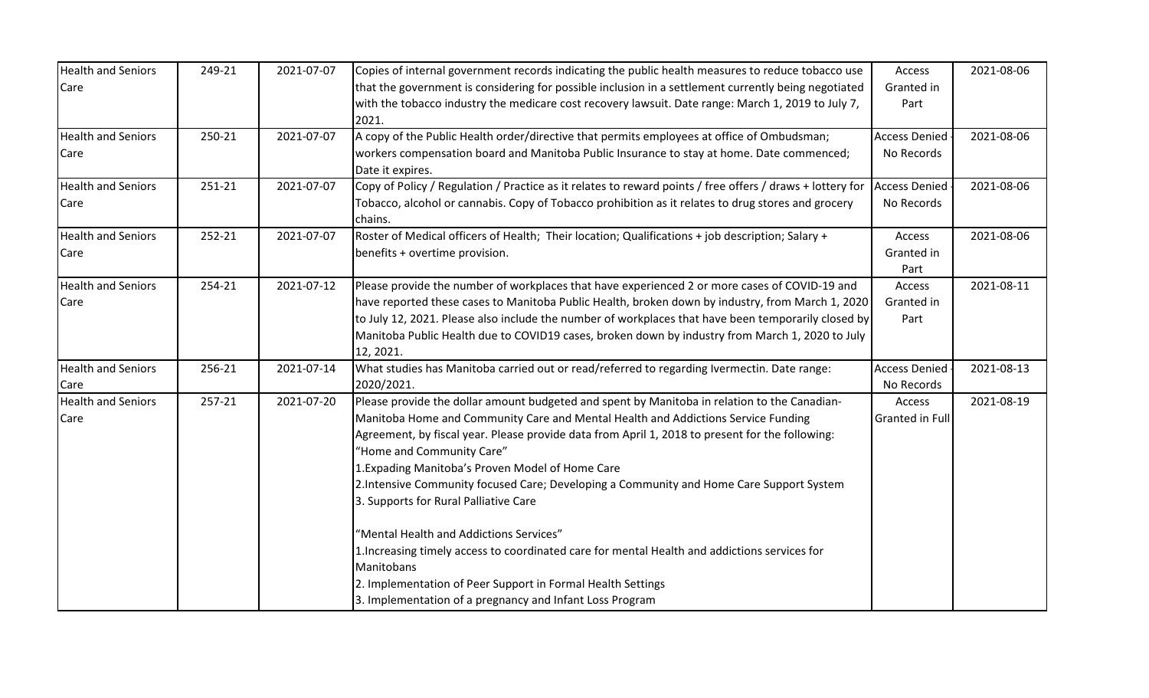| <b>Health and Seniors</b> | 249-21 | 2021-07-07 | Copies of internal government records indicating the public health measures to reduce tobacco use             | Access               | 2021-08-06 |
|---------------------------|--------|------------|---------------------------------------------------------------------------------------------------------------|----------------------|------------|
| Care                      |        |            | that the government is considering for possible inclusion in a settlement currently being negotiated          | Granted in           |            |
|                           |        |            | with the tobacco industry the medicare cost recovery lawsuit. Date range: March 1, 2019 to July 7,<br>2021.   | Part                 |            |
| <b>Health and Seniors</b> | 250-21 | 2021-07-07 | A copy of the Public Health order/directive that permits employees at office of Ombudsman;                    | <b>Access Denied</b> | 2021-08-06 |
| Care                      |        |            | workers compensation board and Manitoba Public Insurance to stay at home. Date commenced;<br>Date it expires. | No Records           |            |
| <b>Health and Seniors</b> | 251-21 | 2021-07-07 | Copy of Policy / Regulation / Practice as it relates to reward points / free offers / draws + lottery for     | <b>Access Denied</b> | 2021-08-06 |
| Care                      |        |            | Tobacco, alcohol or cannabis. Copy of Tobacco prohibition as it relates to drug stores and grocery<br>chains. | No Records           |            |
| <b>Health and Seniors</b> | 252-21 | 2021-07-07 | Roster of Medical officers of Health; Their location; Qualifications + job description; Salary +              | Access               | 2021-08-06 |
| Care                      |        |            | benefits + overtime provision.                                                                                | Granted in<br>Part   |            |
| <b>Health and Seniors</b> | 254-21 | 2021-07-12 | Please provide the number of workplaces that have experienced 2 or more cases of COVID-19 and                 | Access               | 2021-08-11 |
| Care                      |        |            | have reported these cases to Manitoba Public Health, broken down by industry, from March 1, 2020              | Granted in           |            |
|                           |        |            | to July 12, 2021. Please also include the number of workplaces that have been temporarily closed by           | Part                 |            |
|                           |        |            | Manitoba Public Health due to COVID19 cases, broken down by industry from March 1, 2020 to July<br>12, 2021.  |                      |            |
| <b>Health and Seniors</b> | 256-21 | 2021-07-14 | What studies has Manitoba carried out or read/referred to regarding Ivermectin. Date range:                   | <b>Access Denied</b> | 2021-08-13 |
| Care                      |        |            | 2020/2021.                                                                                                    | No Records           |            |
| <b>Health and Seniors</b> | 257-21 | 2021-07-20 | Please provide the dollar amount budgeted and spent by Manitoba in relation to the Canadian-                  | Access               | 2021-08-19 |
| Care                      |        |            | Manitoba Home and Community Care and Mental Health and Addictions Service Funding                             | Granted in Full      |            |
|                           |        |            | Agreement, by fiscal year. Please provide data from April 1, 2018 to present for the following:               |                      |            |
|                           |        |            | "Home and Community Care"                                                                                     |                      |            |
|                           |        |            | 1. Expading Manitoba's Proven Model of Home Care                                                              |                      |            |
|                           |        |            | 2. Intensive Community focused Care; Developing a Community and Home Care Support System                      |                      |            |
|                           |        |            | 3. Supports for Rural Palliative Care                                                                         |                      |            |
|                           |        |            | "Mental Health and Addictions Services"                                                                       |                      |            |
|                           |        |            | 1. Increasing timely access to coordinated care for mental Health and addictions services for                 |                      |            |
|                           |        |            | Manitobans                                                                                                    |                      |            |
|                           |        |            | 2. Implementation of Peer Support in Formal Health Settings                                                   |                      |            |
|                           |        |            | 3. Implementation of a pregnancy and Infant Loss Program                                                      |                      |            |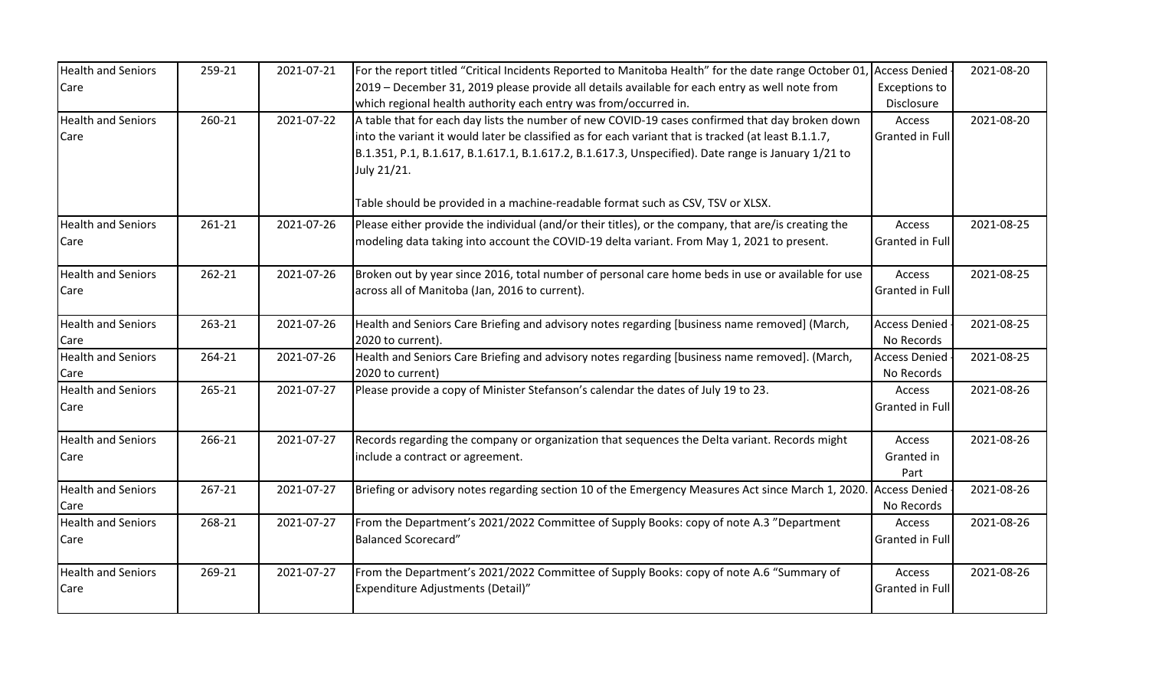| <b>Health and Seniors</b>         | 259-21 | 2021-07-21 | For the report titled "Critical Incidents Reported to Manitoba Health" for the date range October 01,                                                                                                                                                                                                                         | <b>Access Denied</b>               | 2021-08-20 |
|-----------------------------------|--------|------------|-------------------------------------------------------------------------------------------------------------------------------------------------------------------------------------------------------------------------------------------------------------------------------------------------------------------------------|------------------------------------|------------|
| Care                              |        |            | 2019 - December 31, 2019 please provide all details available for each entry as well note from<br>which regional health authority each entry was from/occurred in.                                                                                                                                                            | <b>Exceptions to</b><br>Disclosure |            |
| <b>Health and Seniors</b><br>Care | 260-21 | 2021-07-22 | A table that for each day lists the number of new COVID-19 cases confirmed that day broken down<br>into the variant it would later be classified as for each variant that is tracked (at least B.1.1.7,<br>B.1.351, P.1, B.1.617, B.1.617.1, B.1.617.2, B.1.617.3, Unspecified). Date range is January 1/21 to<br>July 21/21. | Access<br><b>Granted in Full</b>   | 2021-08-20 |
|                                   |        | 2021-07-26 | Table should be provided in a machine-readable format such as CSV, TSV or XLSX.                                                                                                                                                                                                                                               |                                    |            |
| <b>Health and Seniors</b><br>Care | 261-21 |            | Please either provide the individual (and/or their titles), or the company, that are/is creating the<br>modeling data taking into account the COVID-19 delta variant. From May 1, 2021 to present.                                                                                                                            | Access<br><b>Granted in Full</b>   | 2021-08-25 |
| <b>Health and Seniors</b><br>Care | 262-21 | 2021-07-26 | Broken out by year since 2016, total number of personal care home beds in use or available for use<br>across all of Manitoba (Jan, 2016 to current).                                                                                                                                                                          | Access<br>Granted in Full          | 2021-08-25 |
| <b>Health and Seniors</b><br>Care | 263-21 | 2021-07-26 | Health and Seniors Care Briefing and advisory notes regarding [business name removed] (March,<br>2020 to current).                                                                                                                                                                                                            | <b>Access Denied</b><br>No Records | 2021-08-25 |
| <b>Health and Seniors</b><br>Care | 264-21 | 2021-07-26 | Health and Seniors Care Briefing and advisory notes regarding [business name removed]. (March,<br>2020 to current)                                                                                                                                                                                                            | <b>Access Denied</b><br>No Records | 2021-08-25 |
| <b>Health and Seniors</b><br>Care | 265-21 | 2021-07-27 | Please provide a copy of Minister Stefanson's calendar the dates of July 19 to 23.                                                                                                                                                                                                                                            | Access<br>Granted in Full          | 2021-08-26 |
| <b>Health and Seniors</b><br>Care | 266-21 | 2021-07-27 | Records regarding the company or organization that sequences the Delta variant. Records might<br>include a contract or agreement.                                                                                                                                                                                             | Access<br>Granted in<br>Part       | 2021-08-26 |
| <b>Health and Seniors</b><br>Care | 267-21 | 2021-07-27 | Briefing or advisory notes regarding section 10 of the Emergency Measures Act since March 1, 2020. Access Denied                                                                                                                                                                                                              | No Records                         | 2021-08-26 |
| <b>Health and Seniors</b><br>Care | 268-21 | 2021-07-27 | From the Department's 2021/2022 Committee of Supply Books: copy of note A.3 "Department<br><b>Balanced Scorecard"</b>                                                                                                                                                                                                         | Access<br>Granted in Full          | 2021-08-26 |
| <b>Health and Seniors</b><br>Care | 269-21 | 2021-07-27 | From the Department's 2021/2022 Committee of Supply Books: copy of note A.6 "Summary of<br>Expenditure Adjustments (Detail)"                                                                                                                                                                                                  | Access<br><b>Granted in Full</b>   | 2021-08-26 |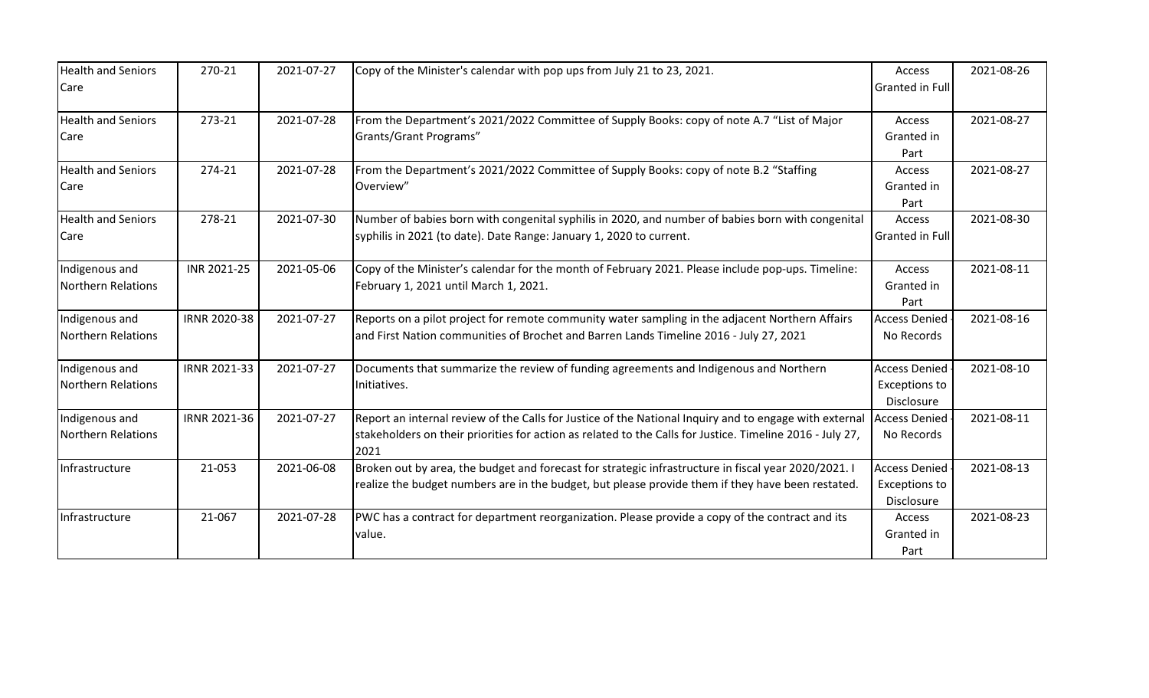| <b>Health and Seniors</b><br>Care    | 270-21       | 2021-07-27 | Copy of the Minister's calendar with pop ups from July 21 to 23, 2021.                                                                                                                                                      | Access<br>Granted in Full                                  | 2021-08-26 |
|--------------------------------------|--------------|------------|-----------------------------------------------------------------------------------------------------------------------------------------------------------------------------------------------------------------------------|------------------------------------------------------------|------------|
| <b>Health and Seniors</b><br>Care    | 273-21       | 2021-07-28 | From the Department's 2021/2022 Committee of Supply Books: copy of note A.7 "List of Major<br>Grants/Grant Programs"                                                                                                        | Access<br>Granted in<br>Part                               | 2021-08-27 |
| <b>Health and Seniors</b><br>Care    | 274-21       | 2021-07-28 | From the Department's 2021/2022 Committee of Supply Books: copy of note B.2 "Staffing<br>Overview"                                                                                                                          | Access<br>Granted in<br>Part                               | 2021-08-27 |
| <b>Health and Seniors</b><br>Care    | 278-21       | 2021-07-30 | Number of babies born with congenital syphilis in 2020, and number of babies born with congenital<br>syphilis in 2021 (to date). Date Range: January 1, 2020 to current.                                                    | Access<br>Granted in Full                                  | 2021-08-30 |
| Indigenous and<br>Northern Relations | INR 2021-25  | 2021-05-06 | Copy of the Minister's calendar for the month of February 2021. Please include pop-ups. Timeline:<br>February 1, 2021 until March 1, 2021.                                                                                  | Access<br>Granted in<br>Part                               | 2021-08-11 |
| Indigenous and<br>Northern Relations | IRNR 2020-38 | 2021-07-27 | Reports on a pilot project for remote community water sampling in the adjacent Northern Affairs<br>and First Nation communities of Brochet and Barren Lands Timeline 2016 - July 27, 2021                                   | <b>Access Denied</b><br>No Records                         | 2021-08-16 |
| Indigenous and<br>Northern Relations | IRNR 2021-33 | 2021-07-27 | Documents that summarize the review of funding agreements and Indigenous and Northern<br>Initiatives.                                                                                                                       | <b>Access Denied</b><br><b>Exceptions to</b><br>Disclosure | 2021-08-10 |
| Indigenous and<br>Northern Relations | IRNR 2021-36 | 2021-07-27 | Report an internal review of the Calls for Justice of the National Inquiry and to engage with external<br>stakeholders on their priorities for action as related to the Calls for Justice. Timeline 2016 - July 27,<br>2021 | <b>Access Denied</b><br>No Records                         | 2021-08-11 |
| Infrastructure                       | 21-053       | 2021-06-08 | Broken out by area, the budget and forecast for strategic infrastructure in fiscal year 2020/2021. I<br>realize the budget numbers are in the budget, but please provide them if they have been restated.                   | <b>Access Denied</b><br><b>Exceptions to</b><br>Disclosure | 2021-08-13 |
| Infrastructure                       | 21-067       | 2021-07-28 | PWC has a contract for department reorganization. Please provide a copy of the contract and its<br>value.                                                                                                                   | Access<br>Granted in<br>Part                               | 2021-08-23 |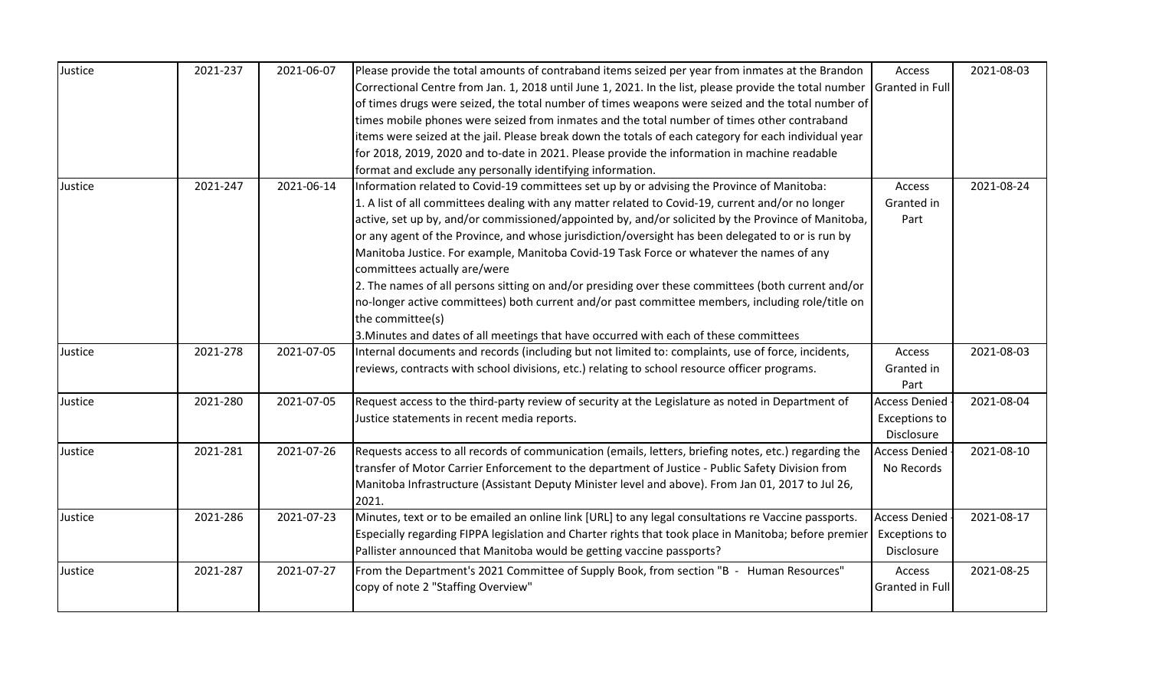| Justice | 2021-237 | 2021-06-07 | Please provide the total amounts of contraband items seized per year from inmates at the Brandon       | Access                 | 2021-08-03 |
|---------|----------|------------|--------------------------------------------------------------------------------------------------------|------------------------|------------|
|         |          |            | Correctional Centre from Jan. 1, 2018 until June 1, 2021. In the list, please provide the total number | Granted in Full        |            |
|         |          |            | of times drugs were seized, the total number of times weapons were seized and the total number of      |                        |            |
|         |          |            | times mobile phones were seized from inmates and the total number of times other contraband            |                        |            |
|         |          |            | items were seized at the jail. Please break down the totals of each category for each individual year  |                        |            |
|         |          |            | for 2018, 2019, 2020 and to-date in 2021. Please provide the information in machine readable           |                        |            |
|         |          |            | format and exclude any personally identifying information.                                             |                        |            |
| Justice | 2021-247 | 2021-06-14 | Information related to Covid-19 committees set up by or advising the Province of Manitoba:             | Access                 | 2021-08-24 |
|         |          |            | 1. A list of all committees dealing with any matter related to Covid-19, current and/or no longer      | Granted in             |            |
|         |          |            | active, set up by, and/or commissioned/appointed by, and/or solicited by the Province of Manitoba,     | Part                   |            |
|         |          |            | or any agent of the Province, and whose jurisdiction/oversight has been delegated to or is run by      |                        |            |
|         |          |            | Manitoba Justice. For example, Manitoba Covid-19 Task Force or whatever the names of any               |                        |            |
|         |          |            | committees actually are/were                                                                           |                        |            |
|         |          |            | 2. The names of all persons sitting on and/or presiding over these committees (both current and/or     |                        |            |
|         |          |            | no-longer active committees) both current and/or past committee members, including role/title on       |                        |            |
|         |          |            | the committee(s)                                                                                       |                        |            |
|         |          |            | 3. Minutes and dates of all meetings that have occurred with each of these committees                  |                        |            |
| Justice | 2021-278 | 2021-07-05 | Internal documents and records (including but not limited to: complaints, use of force, incidents,     | Access                 | 2021-08-03 |
|         |          |            | reviews, contracts with school divisions, etc.) relating to school resource officer programs.          | Granted in             |            |
|         |          |            |                                                                                                        | Part                   |            |
| Justice | 2021-280 | 2021-07-05 | Request access to the third-party review of security at the Legislature as noted in Department of      | <b>Access Denied</b>   | 2021-08-04 |
|         |          |            | Justice statements in recent media reports.                                                            | <b>Exceptions to</b>   |            |
|         |          |            |                                                                                                        | Disclosure             |            |
| Justice | 2021-281 | 2021-07-26 | Requests access to all records of communication (emails, letters, briefing notes, etc.) regarding the  | <b>Access Denied</b>   | 2021-08-10 |
|         |          |            | transfer of Motor Carrier Enforcement to the department of Justice - Public Safety Division from       | No Records             |            |
|         |          |            | Manitoba Infrastructure (Assistant Deputy Minister level and above). From Jan 01, 2017 to Jul 26,      |                        |            |
|         |          |            | 2021.                                                                                                  |                        |            |
| Justice | 2021-286 | 2021-07-23 | Minutes, text or to be emailed an online link [URL] to any legal consultations re Vaccine passports.   | <b>Access Denied</b>   | 2021-08-17 |
|         |          |            | Especially regarding FIPPA legislation and Charter rights that took place in Manitoba; before premier  | <b>Exceptions to</b>   |            |
|         |          |            | Pallister announced that Manitoba would be getting vaccine passports?                                  | Disclosure             |            |
| Justice | 2021-287 | 2021-07-27 | From the Department's 2021 Committee of Supply Book, from section "B - Human Resources"                | Access                 | 2021-08-25 |
|         |          |            | copy of note 2 "Staffing Overview"                                                                     | <b>Granted in Full</b> |            |
|         |          |            |                                                                                                        |                        |            |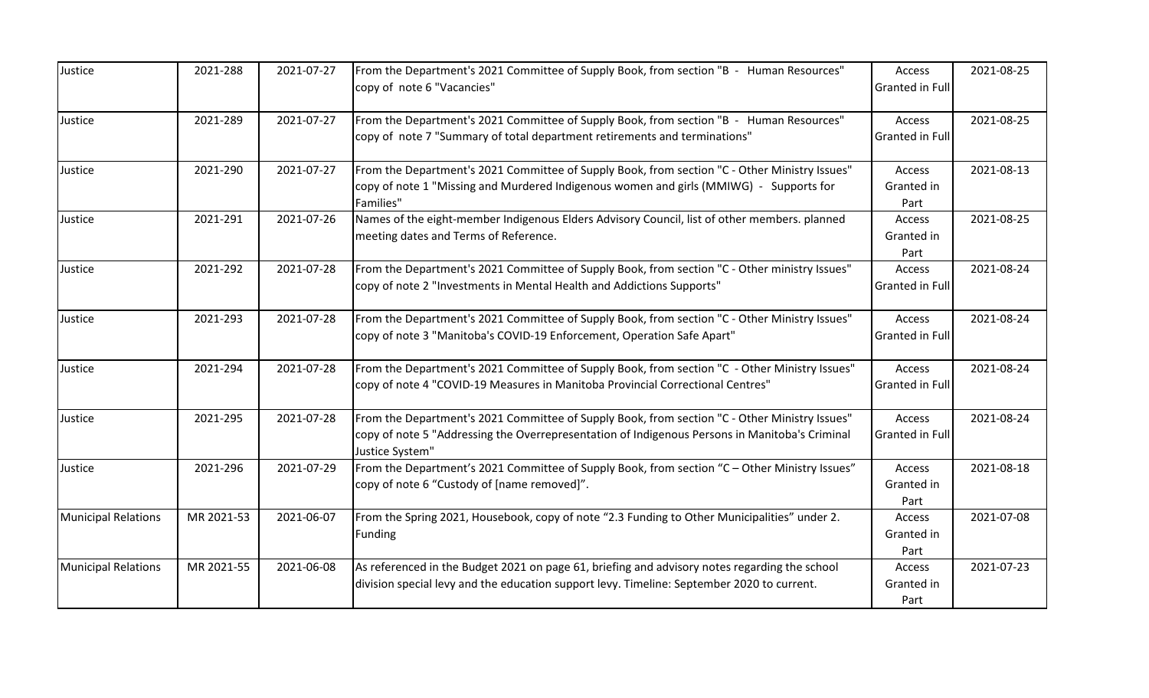| Justice                    | 2021-288   | 2021-07-27 | From the Department's 2021 Committee of Supply Book, from section "B - Human Resources"<br>copy of note 6 "Vacancies"                                                                                              | Access<br>Granted in Full        | 2021-08-25 |
|----------------------------|------------|------------|--------------------------------------------------------------------------------------------------------------------------------------------------------------------------------------------------------------------|----------------------------------|------------|
| Justice                    | 2021-289   | 2021-07-27 | From the Department's 2021 Committee of Supply Book, from section "B - Human Resources"<br>copy of note 7 "Summary of total department retirements and terminations"                                               | Access<br>Granted in Full        | 2021-08-25 |
| Justice                    | 2021-290   | 2021-07-27 | From the Department's 2021 Committee of Supply Book, from section "C - Other Ministry Issues"<br>copy of note 1 "Missing and Murdered Indigenous women and girls (MMIWG) - Supports for<br>Families"               | Access<br>Granted in<br>Part     | 2021-08-13 |
| Justice                    | 2021-291   | 2021-07-26 | Names of the eight-member Indigenous Elders Advisory Council, list of other members. planned<br>meeting dates and Terms of Reference.                                                                              | Access<br>Granted in<br>Part     | 2021-08-25 |
| Justice                    | 2021-292   | 2021-07-28 | From the Department's 2021 Committee of Supply Book, from section "C - Other ministry Issues"<br>copy of note 2 "Investments in Mental Health and Addictions Supports"                                             | Access<br>Granted in Full        | 2021-08-24 |
| Justice                    | 2021-293   | 2021-07-28 | From the Department's 2021 Committee of Supply Book, from section "C - Other Ministry Issues"<br>copy of note 3 "Manitoba's COVID-19 Enforcement, Operation Safe Apart"                                            | Access<br><b>Granted in Full</b> | 2021-08-24 |
| Justice                    | 2021-294   | 2021-07-28 | From the Department's 2021 Committee of Supply Book, from section "C - Other Ministry Issues"<br>copy of note 4 "COVID-19 Measures in Manitoba Provincial Correctional Centres"                                    | Access<br>Granted in Full        | 2021-08-24 |
| Justice                    | 2021-295   | 2021-07-28 | From the Department's 2021 Committee of Supply Book, from section "C - Other Ministry Issues"<br>copy of note 5 "Addressing the Overrepresentation of Indigenous Persons in Manitoba's Criminal<br>Justice System" | Access<br>Granted in Full        | 2021-08-24 |
| Justice                    | 2021-296   | 2021-07-29 | From the Department's 2021 Committee of Supply Book, from section "C - Other Ministry Issues"<br>copy of note 6 "Custody of [name removed]".                                                                       | Access<br>Granted in<br>Part     | 2021-08-18 |
| <b>Municipal Relations</b> | MR 2021-53 | 2021-06-07 | From the Spring 2021, Housebook, copy of note "2.3 Funding to Other Municipalities" under 2.<br><b>Funding</b>                                                                                                     | Access<br>Granted in<br>Part     | 2021-07-08 |
| <b>Municipal Relations</b> | MR 2021-55 | 2021-06-08 | As referenced in the Budget 2021 on page 61, briefing and advisory notes regarding the school<br>division special levy and the education support levy. Timeline: September 2020 to current.                        | Access<br>Granted in<br>Part     | 2021-07-23 |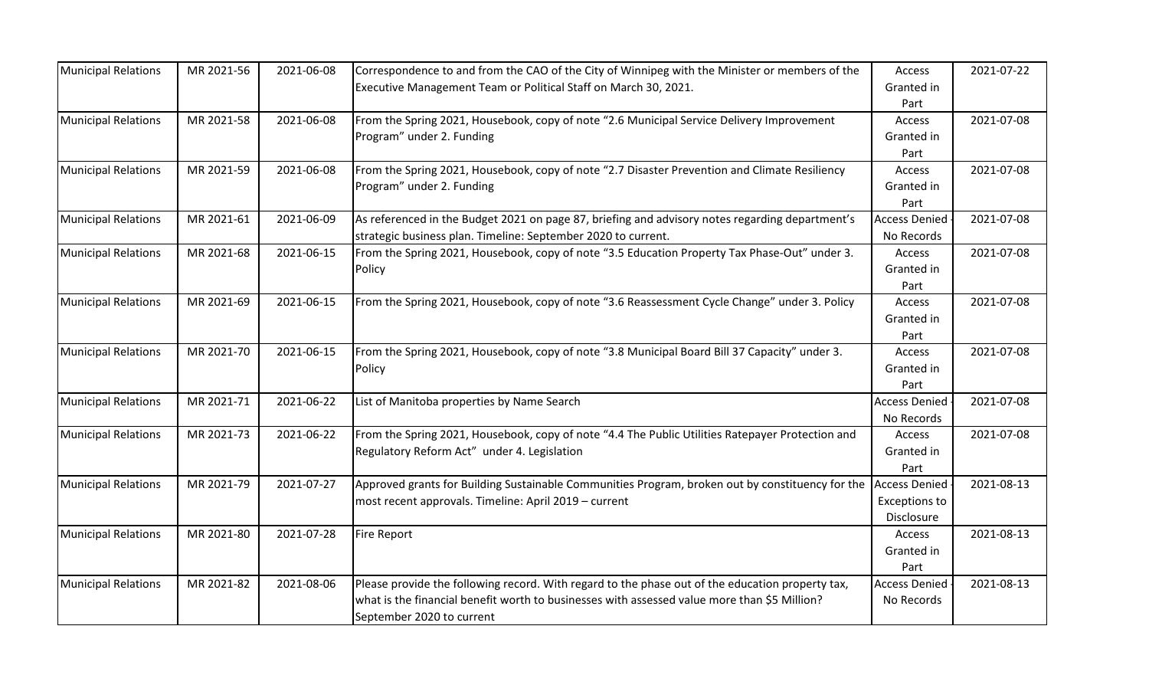| <b>Municipal Relations</b> | MR 2021-56 | 2021-06-08 | Correspondence to and from the CAO of the City of Winnipeg with the Minister or members of the   | Access               | 2021-07-22 |
|----------------------------|------------|------------|--------------------------------------------------------------------------------------------------|----------------------|------------|
|                            |            |            | Executive Management Team or Political Staff on March 30, 2021.                                  | Granted in           |            |
|                            |            |            |                                                                                                  | Part                 |            |
| <b>Municipal Relations</b> | MR 2021-58 | 2021-06-08 | From the Spring 2021, Housebook, copy of note "2.6 Municipal Service Delivery Improvement        | Access               | 2021-07-08 |
|                            |            |            | Program" under 2. Funding                                                                        | Granted in           |            |
|                            |            |            |                                                                                                  | Part                 |            |
| <b>Municipal Relations</b> | MR 2021-59 | 2021-06-08 | From the Spring 2021, Housebook, copy of note "2.7 Disaster Prevention and Climate Resiliency    | Access               | 2021-07-08 |
|                            |            |            | Program" under 2. Funding                                                                        | Granted in           |            |
|                            |            |            |                                                                                                  | Part                 |            |
| <b>Municipal Relations</b> | MR 2021-61 | 2021-06-09 | As referenced in the Budget 2021 on page 87, briefing and advisory notes regarding department's  | <b>Access Denied</b> | 2021-07-08 |
|                            |            |            | strategic business plan. Timeline: September 2020 to current.                                    | No Records           |            |
| <b>Municipal Relations</b> | MR 2021-68 | 2021-06-15 | From the Spring 2021, Housebook, copy of note "3.5 Education Property Tax Phase-Out" under 3.    | Access               | 2021-07-08 |
|                            |            |            | Policy                                                                                           | Granted in           |            |
|                            |            |            |                                                                                                  | Part                 |            |
| <b>Municipal Relations</b> | MR 2021-69 | 2021-06-15 | From the Spring 2021, Housebook, copy of note "3.6 Reassessment Cycle Change" under 3. Policy    | Access               | 2021-07-08 |
|                            |            |            |                                                                                                  | Granted in           |            |
|                            |            |            |                                                                                                  | Part                 |            |
| <b>Municipal Relations</b> | MR 2021-70 | 2021-06-15 | From the Spring 2021, Housebook, copy of note "3.8 Municipal Board Bill 37 Capacity" under 3.    | Access               | 2021-07-08 |
|                            |            |            | Policy                                                                                           | Granted in           |            |
|                            |            |            |                                                                                                  | Part                 |            |
| <b>Municipal Relations</b> | MR 2021-71 | 2021-06-22 | List of Manitoba properties by Name Search                                                       | <b>Access Denied</b> | 2021-07-08 |
|                            |            |            |                                                                                                  | No Records           |            |
| <b>Municipal Relations</b> | MR 2021-73 | 2021-06-22 | From the Spring 2021, Housebook, copy of note "4.4 The Public Utilities Ratepayer Protection and | Access               | 2021-07-08 |
|                            |            |            | Regulatory Reform Act" under 4. Legislation                                                      | Granted in           |            |
|                            |            |            |                                                                                                  | Part                 |            |
| <b>Municipal Relations</b> | MR 2021-79 | 2021-07-27 | Approved grants for Building Sustainable Communities Program, broken out by constituency for the | <b>Access Denied</b> | 2021-08-13 |
|                            |            |            | most recent approvals. Timeline: April 2019 - current                                            | <b>Exceptions to</b> |            |
|                            |            |            |                                                                                                  | Disclosure           |            |
| <b>Municipal Relations</b> | MR 2021-80 | 2021-07-28 | <b>Fire Report</b>                                                                               | Access               | 2021-08-13 |
|                            |            |            |                                                                                                  | Granted in           |            |
|                            |            |            |                                                                                                  | Part                 |            |
| <b>Municipal Relations</b> | MR 2021-82 | 2021-08-06 | Please provide the following record. With regard to the phase out of the education property tax, | <b>Access Denied</b> | 2021-08-13 |
|                            |            |            | what is the financial benefit worth to businesses with assessed value more than \$5 Million?     | No Records           |            |
|                            |            |            | September 2020 to current                                                                        |                      |            |